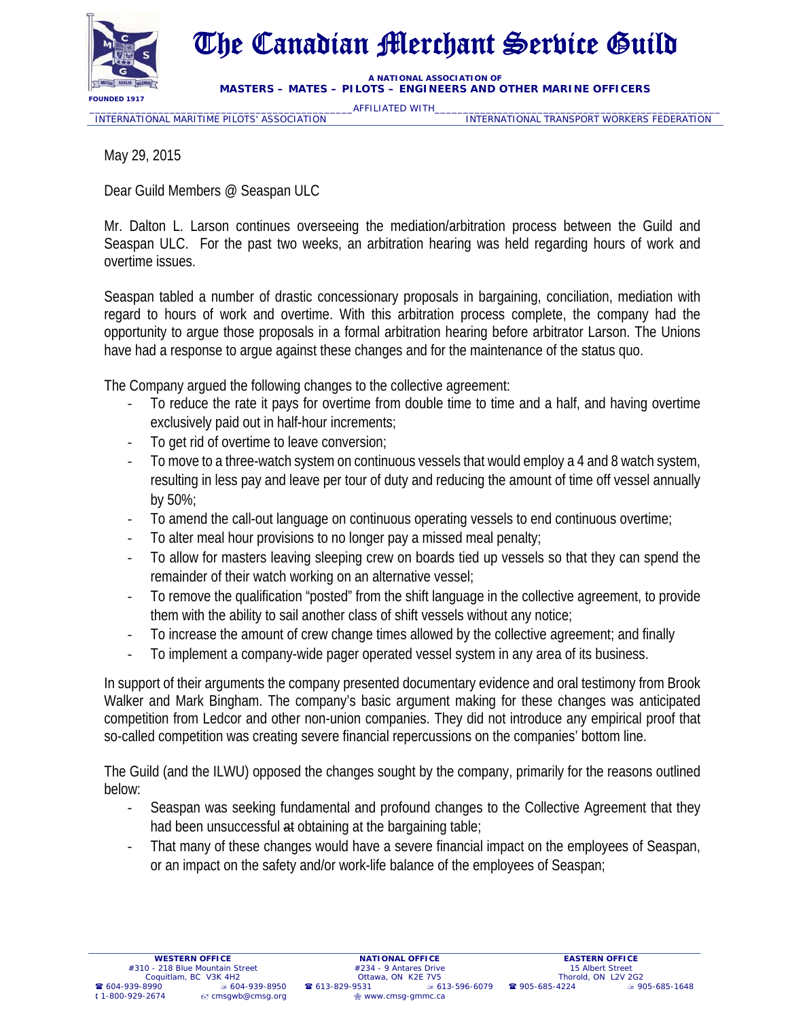

## The Canadian Merchant Service Guild

**A NATIONAL ASSOCIATION OF MASTERS – MATES – PILOTS – ENGINEERS AND OTHER MARINE OFFICERS** 

\_\_\_\_\_\_\_\_\_\_\_\_\_\_\_\_\_\_\_\_\_\_\_\_\_\_\_\_\_\_\_\_\_\_\_\_\_\_\_\_\_\_\_\_\_\_AFFILIATED WITH\_\_\_\_\_\_\_\_\_\_\_\_\_\_\_\_\_\_\_\_\_\_\_\_\_\_\_\_\_\_\_\_\_\_\_\_\_\_\_\_\_\_\_\_\_\_\_\_\_\_ INTERNATIONAL TRANSPORT WORKERS FEDERATION

May 29, 2015

Dear Guild Members @ Seaspan ULC

Mr. Dalton L. Larson continues overseeing the mediation/arbitration process between the Guild and Seaspan ULC. For the past two weeks, an arbitration hearing was held regarding hours of work and overtime issues.

Seaspan tabled a number of drastic concessionary proposals in bargaining, conciliation, mediation with regard to hours of work and overtime. With this arbitration process complete, the company had the opportunity to argue those proposals in a formal arbitration hearing before arbitrator Larson. The Unions have had a response to argue against these changes and for the maintenance of the status quo.

The Company argued the following changes to the collective agreement:

- To reduce the rate it pays for overtime from double time to time and a half, and having overtime exclusively paid out in half-hour increments;
- To get rid of overtime to leave conversion;
- To move to a three-watch system on continuous vessels that would employ a 4 and 8 watch system, resulting in less pay and leave per tour of duty and reducing the amount of time off vessel annually by 50%;
- ‐ To amend the call-out language on continuous operating vessels to end continuous overtime;
- ‐ To alter meal hour provisions to no longer pay a missed meal penalty;
- ‐ To allow for masters leaving sleeping crew on boards tied up vessels so that they can spend the remainder of their watch working on an alternative vessel;
- ‐ To remove the qualification "posted" from the shift language in the collective agreement, to provide them with the ability to sail another class of shift vessels without any notice;
- ‐ To increase the amount of crew change times allowed by the collective agreement; and finally
- To implement a company-wide pager operated vessel system in any area of its business.

In support of their arguments the company presented documentary evidence and oral testimony from Brook Walker and Mark Bingham. The company's basic argument making for these changes was anticipated competition from Ledcor and other non-union companies. They did not introduce any empirical proof that so-called competition was creating severe financial repercussions on the companies' bottom line.

The Guild (and the ILWU) opposed the changes sought by the company, primarily for the reasons outlined below:

- ‐ Seaspan was seeking fundamental and profound changes to the Collective Agreement that they had been unsuccessful at obtaining at the bargaining table;
- That many of these changes would have a severe financial impact on the employees of Seaspan, or an impact on the safety and/or work-life balance of the employees of Seaspan;